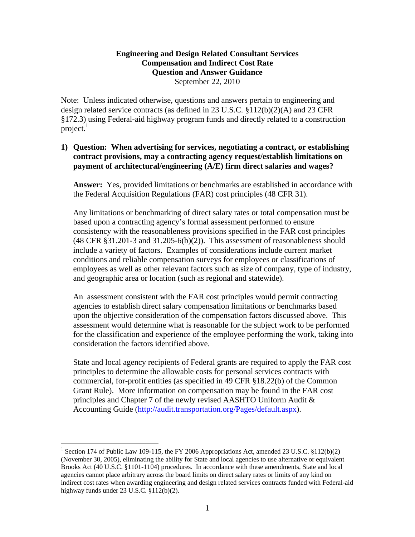### **Engineering and Design Related Consultant Services Compensation and Indirect Cost Rate Question and Answer Guidance**  September 22, 2010

Note: Unless indicated otherwise, questions and answers pertain to engineering and design related service contracts (as defined in 23 U.S.C. §112(b)(2)(A) and 23 CFR §172.3) using Federal-aid highway program funds and directly related to a construction project. $<sup>1</sup>$ </sup>

# **1) Question: When advertising for services, negotiating a contract, or establishing contract provisions, may a contracting agency request/establish limitations on payment of architectural/engineering (A/E) firm direct salaries and wages?**

**Answer:** Yes, provided limitations or benchmarks are established in accordance with the Federal Acquisition Regulations (FAR) cost principles (48 CFR 31).

Any limitations or benchmarking of direct salary rates or total compensation must be based upon a contracting agency's formal assessment performed to ensure consistency with the reasonableness provisions specified in the FAR cost principles  $(48 \text{ CFR } \text{\textless} 31.201-3 \text{ and } 31.205-6(b)(2)).$  This assessment of reasonableness should include a variety of factors. Examples of considerations include current market conditions and reliable compensation surveys for employees or classifications of employees as well as other relevant factors such as size of company, type of industry, and geographic area or location (such as regional and statewide).

An assessment consistent with the FAR cost principles would permit contracting agencies to establish direct salary compensation limitations or benchmarks based upon the objective consideration of the compensation factors discussed above. This assessment would determine what is reasonable for the subject work to be performed for the classification and experience of the employee performing the work, taking into consideration the factors identified above.

State and local agency recipients of Federal grants are required to apply the FAR cost principles to determine the allowable costs for personal services contracts with commercial, for-profit entities (as specified in 49 CFR §18.22(b) of the Common Grant Rule). More information on compensation may be found in the FAR cost principles and Chapter 7 of the newly revised AASHTO Uniform Audit & Accounting Guide (http://audit.transportation.org/Pages/default.aspx).

 $\overline{a}$ 

<sup>&</sup>lt;sup>1</sup> Section 174 of Public Law 109-115, the FY 2006 Appropriations Act, amended 23 U.S.C. §112(b)(2) (November 30, 2005), eliminating the ability for State and local agencies to use alternative or equivalent Brooks Act (40 U.S.C. §1101-1104) procedures. In accordance with these amendments, State and local agencies cannot place arbitrary across the board limits on direct salary rates or limits of any kind on indirect cost rates when awarding engineering and design related services contracts funded with Federal-aid highway funds under 23 U.S.C. §112(b)(2).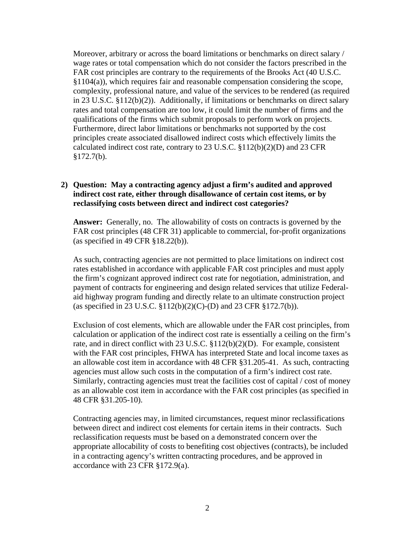Moreover, arbitrary or across the board limitations or benchmarks on direct salary / wage rates or total compensation which do not consider the factors prescribed in the FAR cost principles are contrary to the requirements of the Brooks Act (40 U.S.C.  $§1104(a)$ , which requires fair and reasonable compensation considering the scope, complexity, professional nature, and value of the services to be rendered (as required in 23 U.S.C. §112(b)(2)). Additionally, if limitations or benchmarks on direct salary rates and total compensation are too low, it could limit the number of firms and the qualifications of the firms which submit proposals to perform work on projects. Furthermore, direct labor limitations or benchmarks not supported by the cost principles create associated disallowed indirect costs which effectively limits the calculated indirect cost rate, contrary to 23 U.S.C. §112(b)(2)(D) and 23 CFR §172.7(b).

### **2) Question: May a contracting agency adjust a firm's audited and approved indirect cost rate, either through disallowance of certain cost items, or by reclassifying costs between direct and indirect cost categories?**

**Answer:** Generally, no. The allowability of costs on contracts is governed by the FAR cost principles (48 CFR 31) applicable to commercial, for-profit organizations (as specified in 49 CFR §18.22(b)).

As such, contracting agencies are not permitted to place limitations on indirect cost rates established in accordance with applicable FAR cost principles and must apply the firm's cognizant approved indirect cost rate for negotiation, administration, and payment of contracts for engineering and design related services that utilize Federalaid highway program funding and directly relate to an ultimate construction project (as specified in 23 U.S.C. §112(b)(2)(C)-(D) and 23 CFR §172.7(b)).

Exclusion of cost elements, which are allowable under the FAR cost principles, from calculation or application of the indirect cost rate is essentially a ceiling on the firm's rate, and in direct conflict with 23 U.S.C. §112(b)(2)(D). For example, consistent with the FAR cost principles, FHWA has interpreted State and local income taxes as an allowable cost item in accordance with 48 CFR §31.205-41. As such, contracting agencies must allow such costs in the computation of a firm's indirect cost rate. Similarly, contracting agencies must treat the facilities cost of capital / cost of money as an allowable cost item in accordance with the FAR cost principles (as specified in 48 CFR §31.205-10).

Contracting agencies may, in limited circumstances, request minor reclassifications between direct and indirect cost elements for certain items in their contracts. Such reclassification requests must be based on a demonstrated concern over the appropriate allocability of costs to benefiting cost objectives (contracts), be included in a contracting agency's written contracting procedures, and be approved in accordance with 23 CFR §172.9(a).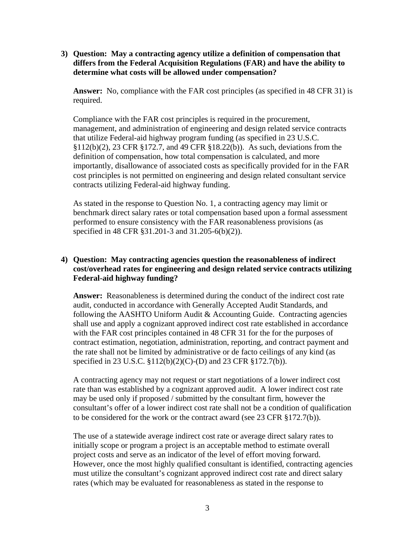**3) Question: May a contracting agency utilize a definition of compensation that differs from the Federal Acquisition Regulations (FAR) and have the ability to determine what costs will be allowed under compensation?** 

**Answer:** No, compliance with the FAR cost principles (as specified in 48 CFR 31) is required.

Compliance with the FAR cost principles is required in the procurement, management, and administration of engineering and design related service contracts that utilize Federal-aid highway program funding (as specified in 23 U.S.C. §112(b)(2), 23 CFR §172.7, and 49 CFR §18.22(b)). As such, deviations from the definition of compensation, how total compensation is calculated, and more importantly, disallowance of associated costs as specifically provided for in the FAR cost principles is not permitted on engineering and design related consultant service contracts utilizing Federal-aid highway funding.

As stated in the response to Question No. 1, a contracting agency may limit or benchmark direct salary rates or total compensation based upon a formal assessment performed to ensure consistency with the FAR reasonableness provisions (as specified in 48 CFR §31.201-3 and 31.205-6(b)(2)).

# **4) Question: May contracting agencies question the reasonableness of indirect cost/overhead rates for engineering and design related service contracts utilizing Federal-aid highway funding?**

**Answer:** Reasonableness is determined during the conduct of the indirect cost rate audit, conducted in accordance with Generally Accepted Audit Standards, and following the AASHTO Uniform Audit & Accounting Guide. Contracting agencies shall use and apply a cognizant approved indirect cost rate established in accordance with the FAR cost principles contained in 48 CFR 31 for the for the purposes of contract estimation, negotiation, administration, reporting, and contract payment and the rate shall not be limited by administrative or de facto ceilings of any kind (as specified in 23 U.S.C. §112(b)(2)(C)-(D) and 23 CFR §172.7(b)).

A contracting agency may not request or start negotiations of a lower indirect cost rate than was established by a cognizant approved audit. A lower indirect cost rate may be used only if proposed / submitted by the consultant firm, however the consultant's offer of a lower indirect cost rate shall not be a condition of qualification to be considered for the work or the contract award (see 23 CFR §172.7(b)).

The use of a statewide average indirect cost rate or average direct salary rates to initially scope or program a project is an acceptable method to estimate overall project costs and serve as an indicator of the level of effort moving forward. However, once the most highly qualified consultant is identified, contracting agencies must utilize the consultant's cognizant approved indirect cost rate and direct salary rates (which may be evaluated for reasonableness as stated in the response to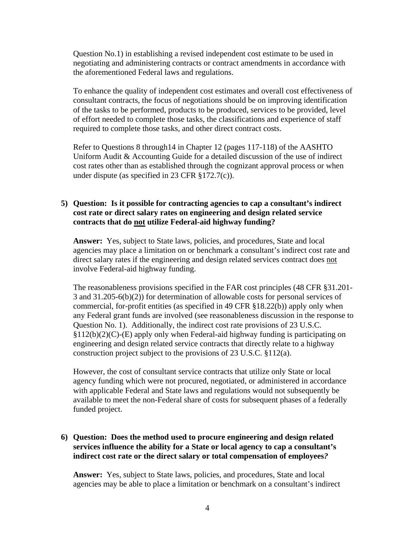Question No.1) in establishing a revised independent cost estimate to be used in negotiating and administering contracts or contract amendments in accordance with the aforementioned Federal laws and regulations.

To enhance the quality of independent cost estimates and overall cost effectiveness of consultant contracts, the focus of negotiations should be on improving identification of the tasks to be performed, products to be produced, services to be provided, level of effort needed to complete those tasks, the classifications and experience of staff required to complete those tasks, and other direct contract costs.

Refer to Questions 8 through14 in Chapter 12 (pages 117-118) of the AASHTO Uniform Audit & Accounting Guide for a detailed discussion of the use of indirect cost rates other than as established through the cognizant approval process or when under dispute (as specified in 23 CFR §172.7(c)).

# **5) Question: Is it possible for contracting agencies to cap a consultant's indirect cost rate or direct salary rates on engineering and design related service contracts that do not utilize Federal-aid highway funding?**

**Answer:** Yes, subject to State laws, policies, and procedures, State and local agencies may place a limitation on or benchmark a consultant's indirect cost rate and direct salary rates if the engineering and design related services contract does not involve Federal-aid highway funding.

The reasonableness provisions specified in the FAR cost principles (48 CFR §31.201- 3 and 31.205-6(b)(2)) for determination of allowable costs for personal services of commercial, for-profit entities (as specified in 49 CFR §18.22(b)) apply only when any Federal grant funds are involved (see reasonableness discussion in the response to Question No. 1). Additionally, the indirect cost rate provisions of 23 U.S.C.  $§112(b)(2)(C)$ -(E) apply only when Federal-aid highway funding is participating on engineering and design related service contracts that directly relate to a highway construction project subject to the provisions of 23 U.S.C. §112(a).

However, the cost of consultant service contracts that utilize only State or local agency funding which were not procured, negotiated, or administered in accordance with applicable Federal and State laws and regulations would not subsequently be available to meet the non-Federal share of costs for subsequent phases of a federally funded project.

# **6) Question: Does the method used to procure engineering and design related services influence the ability for a State or local agency to cap a consultant's indirect cost rate or the direct salary or total compensation of employees***?*

Answer: Yes, subject to State laws, policies, and procedures, State and local agencies may be able to place a limitation or benchmark on a consultant's indirect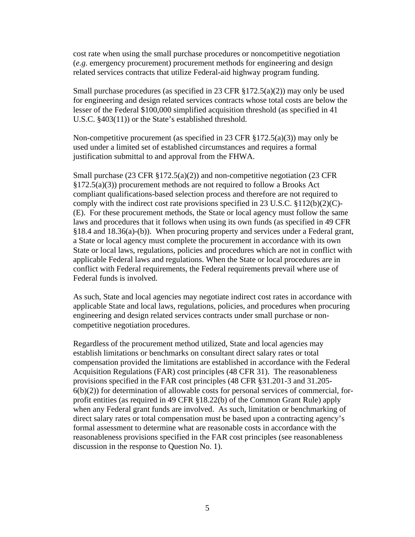cost rate when using the small purchase procedures or noncompetitive negotiation (*e.g.* emergency procurement) procurement methods for engineering and design related services contracts that utilize Federal-aid highway program funding.

Small purchase procedures (as specified in 23 CFR  $\S 172.5(a)(2)$ ) may only be used for engineering and design related services contracts whose total costs are below the lesser of the Federal \$100,000 simplified acquisition threshold (as specified in 41 U.S.C. §403(11)) or the State's established threshold.

Non-competitive procurement (as specified in 23 CFR  $\S 172.5(a)(3)$ ) may only be used under a limited set of established circumstances and requires a formal justification submittal to and approval from the FHWA.

Small purchase (23 CFR §172.5(a)(2)) and non-competitive negotiation (23 CFR §172.5(a)(3)) procurement methods are not required to follow a Brooks Act compliant qualifications-based selection process and therefore are not required to comply with the indirect cost rate provisions specified in 23 U.S.C. §112(b)(2)(C)- (E). For these procurement methods, the State or local agency must follow the same laws and procedures that it follows when using its own funds (as specified in 49 CFR §18.4 and 18.36(a)-(b)). When procuring property and services under a Federal grant, a State or local agency must complete the procurement in accordance with its own State or local laws, regulations, policies and procedures which are not in conflict with applicable Federal laws and regulations. When the State or local procedures are in conflict with Federal requirements, the Federal requirements prevail where use of Federal funds is involved.

As such, State and local agencies may negotiate indirect cost rates in accordance with applicable State and local laws, regulations, policies, and procedures when procuring engineering and design related services contracts under small purchase or noncompetitive negotiation procedures.

Regardless of the procurement method utilized, State and local agencies may establish limitations or benchmarks on consultant direct salary rates or total compensation provided the limitations are established in accordance with the Federal Acquisition Regulations (FAR) cost principles (48 CFR 31). The reasonableness provisions specified in the FAR cost principles (48 CFR §31.201-3 and 31.205-  $6(b)(2)$ ) for determination of allowable costs for personal services of commercial, forprofit entities (as required in 49 CFR §18.22(b) of the Common Grant Rule) apply when any Federal grant funds are involved. As such, limitation or benchmarking of direct salary rates or total compensation must be based upon a contracting agency's formal assessment to determine what are reasonable costs in accordance with the reasonableness provisions specified in the FAR cost principles (see reasonableness discussion in the response to Question No. 1).